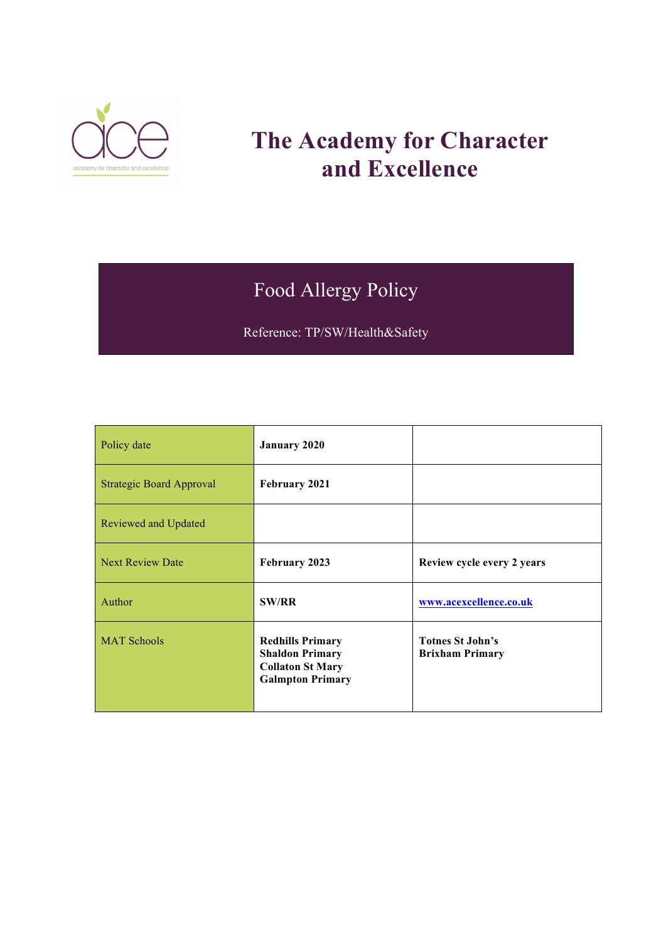

# **The Academy for Character and Excellence**

# Food Allergy Policy

Reference: TP/SW/Health&Safety

| Policy date                     | <b>January 2020</b>                                                                                     |                                                   |
|---------------------------------|---------------------------------------------------------------------------------------------------------|---------------------------------------------------|
| <b>Strategic Board Approval</b> | February 2021                                                                                           |                                                   |
| Reviewed and Updated            |                                                                                                         |                                                   |
| <b>Next Review Date</b>         | February 2023                                                                                           | Review cycle every 2 years                        |
| Author                          | <b>SW/RR</b>                                                                                            | www.acexcellence.co.uk                            |
| <b>MAT Schools</b>              | <b>Redhills Primary</b><br><b>Shaldon Primary</b><br><b>Collaton St Mary</b><br><b>Galmpton Primary</b> | <b>Totnes St John's</b><br><b>Brixham Primary</b> |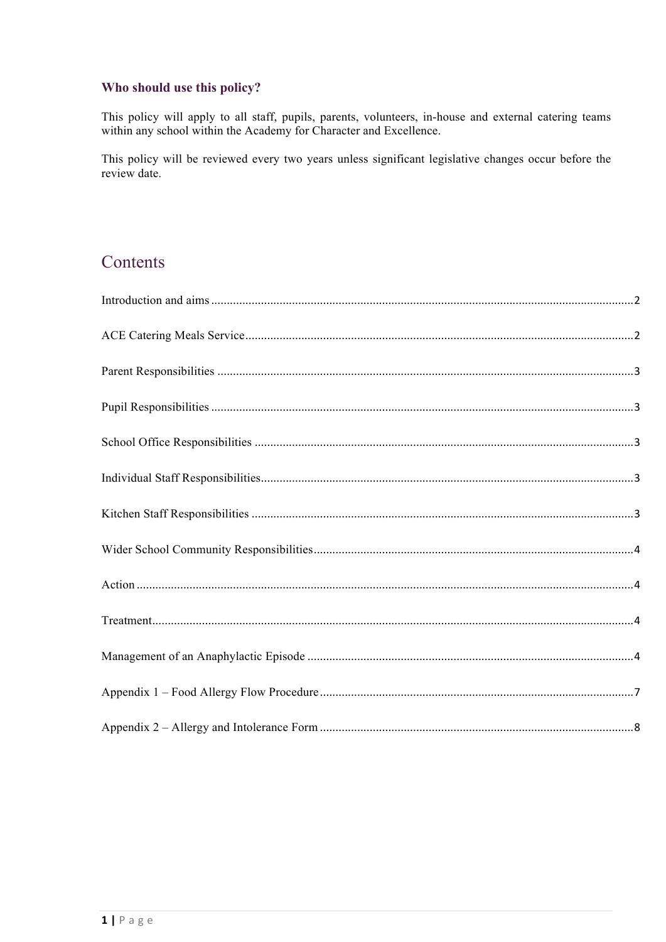### Who should use this policy?

This policy will apply to all staff, pupils, parents, volunteers, in-house and external catering teams within any school within the Academy for Character and Excellence.

This policy will be reviewed every two years unless significant legislative changes occur before the review date.

# Contents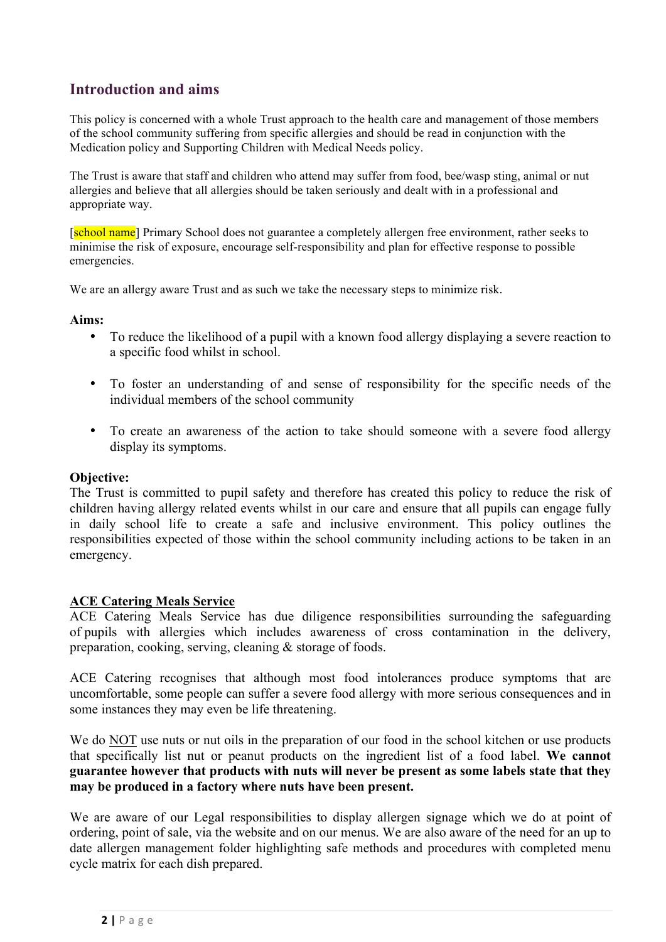### <span id="page-2-0"></span>**Introduction and aims**

This policy is concerned with a whole Trust approach to the health care and management of those members of the school community suffering from specific allergies and should be read in conjunction with the Medication policy and Supporting Children with Medical Needs policy.

The Trust is aware that staff and children who attend may suffer from food, bee/wasp sting, animal or nut allergies and believe that all allergies should be taken seriously and dealt with in a professional and appropriate way.

[school name] Primary School does not guarantee a completely allergen free environment, rather seeks to minimise the risk of exposure, encourage self-responsibility and plan for effective response to possible emergencies.

We are an allergy aware Trust and as such we take the necessary steps to minimize risk.

#### **Aims:**

- To reduce the likelihood of a pupil with a known food allergy displaying a severe reaction to a specific food whilst in school.
- To foster an understanding of and sense of responsibility for the specific needs of the individual members of the school community
- To create an awareness of the action to take should someone with a severe food allergy display its symptoms.

#### **Objective:**

The Trust is committed to pupil safety and therefore has created this policy to reduce the risk of children having allergy related events whilst in our care and ensure that all pupils can engage fully in daily school life to create a safe and inclusive environment. This policy outlines the responsibilities expected of those within the school community including actions to be taken in an emergency.

#### <span id="page-2-1"></span>**ACE Catering Meals Service**

ACE Catering Meals Service has due diligence responsibilities surrounding the safeguarding of pupils with allergies which includes awareness of cross contamination in the delivery, preparation, cooking, serving, cleaning & storage of foods.

ACE Catering recognises that although most food intolerances produce symptoms that are uncomfortable, some people can suffer a severe food allergy with more serious consequences and in some instances they may even be life threatening.

We do NOT use nuts or nut oils in the preparation of our food in the school kitchen or use products that specifically list nut or peanut products on the ingredient list of a food label. **We cannot guarantee however that products with nuts will never be present as some labels state that they may be produced in a factory where nuts have been present.**

We are aware of our Legal responsibilities to display allergen signage which we do at point of ordering, point of sale, via the website and on our menus. We are also aware of the need for an up to date allergen management folder highlighting safe methods and procedures with completed menu cycle matrix for each dish prepared.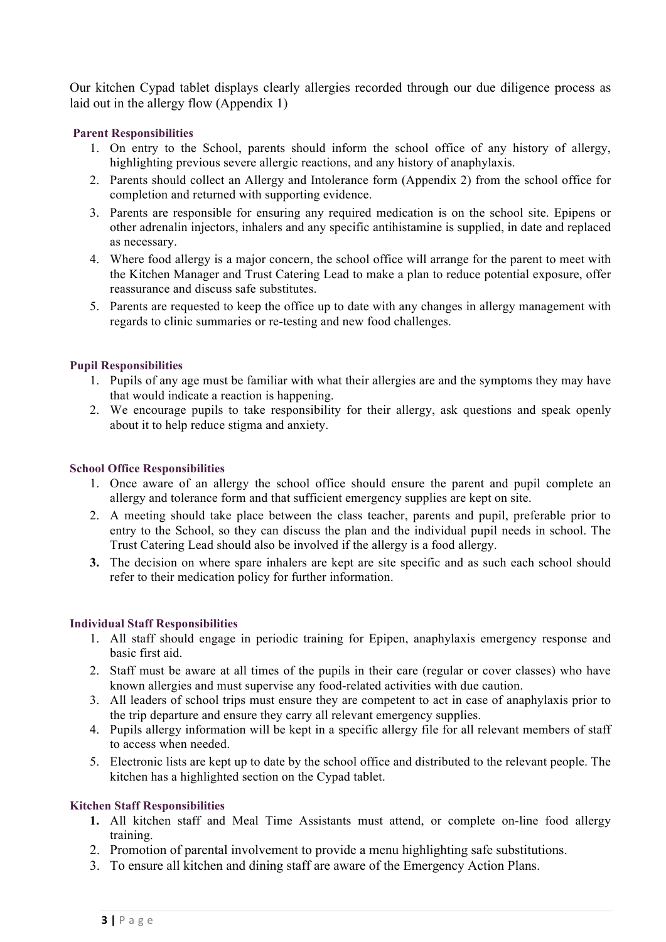Our kitchen Cypad tablet displays clearly allergies recorded through our due diligence process as laid out in the allergy flow (Appendix 1)

#### <span id="page-3-0"></span>**Parent Responsibilities**

- 1. On entry to the School, parents should inform the school office of any history of allergy, highlighting previous severe allergic reactions, and any history of anaphylaxis.
- 2. Parents should collect an Allergy and Intolerance form (Appendix 2) from the school office for completion and returned with supporting evidence.
- 3. Parents are responsible for ensuring any required medication is on the school site. Epipens or other adrenalin injectors, inhalers and any specific antihistamine is supplied, in date and replaced as necessary.
- 4. Where food allergy is a major concern, the school office will arrange for the parent to meet with the Kitchen Manager and Trust Catering Lead to make a plan to reduce potential exposure, offer reassurance and discuss safe substitutes.
- 5. Parents are requested to keep the office up to date with any changes in allergy management with regards to clinic summaries or re-testing and new food challenges.

#### <span id="page-3-1"></span>**Pupil Responsibilities**

- 1. Pupils of any age must be familiar with what their allergies are and the symptoms they may have that would indicate a reaction is happening.
- 2. We encourage pupils to take responsibility for their allergy, ask questions and speak openly about it to help reduce stigma and anxiety.

#### <span id="page-3-2"></span>**School Office Responsibilities**

- 1. Once aware of an allergy the school office should ensure the parent and pupil complete an allergy and tolerance form and that sufficient emergency supplies are kept on site.
- 2. A meeting should take place between the class teacher, parents and pupil, preferable prior to entry to the School, so they can discuss the plan and the individual pupil needs in school. The Trust Catering Lead should also be involved if the allergy is a food allergy.
- **3.** The decision on where spare inhalers are kept are site specific and as such each school should refer to their medication policy for further information.

### <span id="page-3-3"></span>**Individual Staff Responsibilities**

- 1. All staff should engage in periodic training for Epipen, anaphylaxis emergency response and basic first aid.
- 2. Staff must be aware at all times of the pupils in their care (regular or cover classes) who have known allergies and must supervise any food-related activities with due caution.
- 3. All leaders of school trips must ensure they are competent to act in case of anaphylaxis prior to the trip departure and ensure they carry all relevant emergency supplies.
- 4. Pupils allergy information will be kept in a specific allergy file for all relevant members of staff to access when needed.
- 5. Electronic lists are kept up to date by the school office and distributed to the relevant people. The kitchen has a highlighted section on the Cypad tablet.

#### <span id="page-3-4"></span>**Kitchen Staff Responsibilities**

- **1.** All kitchen staff and Meal Time Assistants must attend, or complete on-line food allergy training.
- 2. Promotion of parental involvement to provide a menu highlighting safe substitutions.
- 3. To ensure all kitchen and dining staff are aware of the Emergency Action Plans.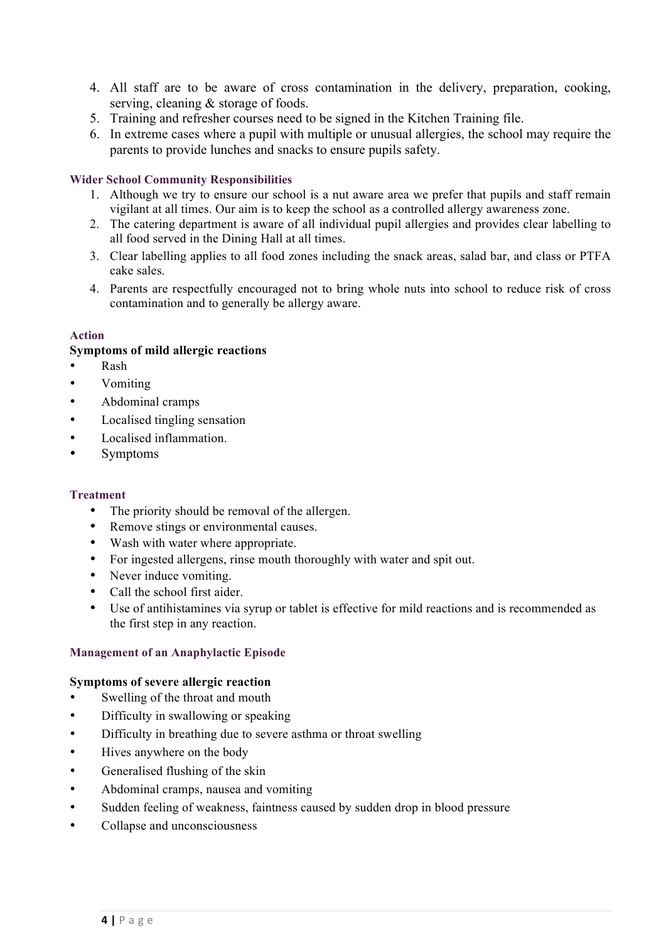- 4. All staff are to be aware of cross contamination in the delivery, preparation, cooking, serving, cleaning & storage of foods.
- 5. Training and refresher courses need to be signed in the Kitchen Training file.
- 6. In extreme cases where a pupil with multiple or unusual allergies, the school may require the parents to provide lunches and snacks to ensure pupils safety.

#### <span id="page-4-0"></span>**Wider School Community Responsibilities**

- 1. Although we try to ensure our school is a nut aware area we prefer that pupils and staff remain vigilant at all times. Our aim is to keep the school as a controlled allergy awareness zone.
- 2. The catering department is aware of all individual pupil allergies and provides clear labelling to all food served in the Dining Hall at all times.
- 3. Clear labelling applies to all food zones including the snack areas, salad bar, and class or PTFA cake sales.
- 4. Parents are respectfully encouraged not to bring whole nuts into school to reduce risk of cross contamination and to generally be allergy aware.

#### <span id="page-4-1"></span>**Action**

#### **Symptoms of mild allergic reactions**

- Rash
- Vomiting
- Abdominal cramps
- Localised tingling sensation
- Localised inflammation.
- Symptoms

#### <span id="page-4-2"></span>**Treatment**

- The priority should be removal of the allergen.
- Remove stings or environmental causes.
- Wash with water where appropriate.
- For ingested allergens, rinse mouth thoroughly with water and spit out.
- Never induce vomiting.
- Call the school first aider.
- Use of antihistamines via syrup or tablet is effective for mild reactions and is recommended as the first step in any reaction.

#### <span id="page-4-3"></span>**Management of an Anaphylactic Episode**

#### **Symptoms of severe allergic reaction**

- Swelling of the throat and mouth
- Difficulty in swallowing or speaking
- Difficulty in breathing due to severe asthma or throat swelling
- Hives anywhere on the body
- Generalised flushing of the skin
- Abdominal cramps, nausea and vomiting
- Sudden feeling of weakness, faintness caused by sudden drop in blood pressure
- Collapse and unconsciousness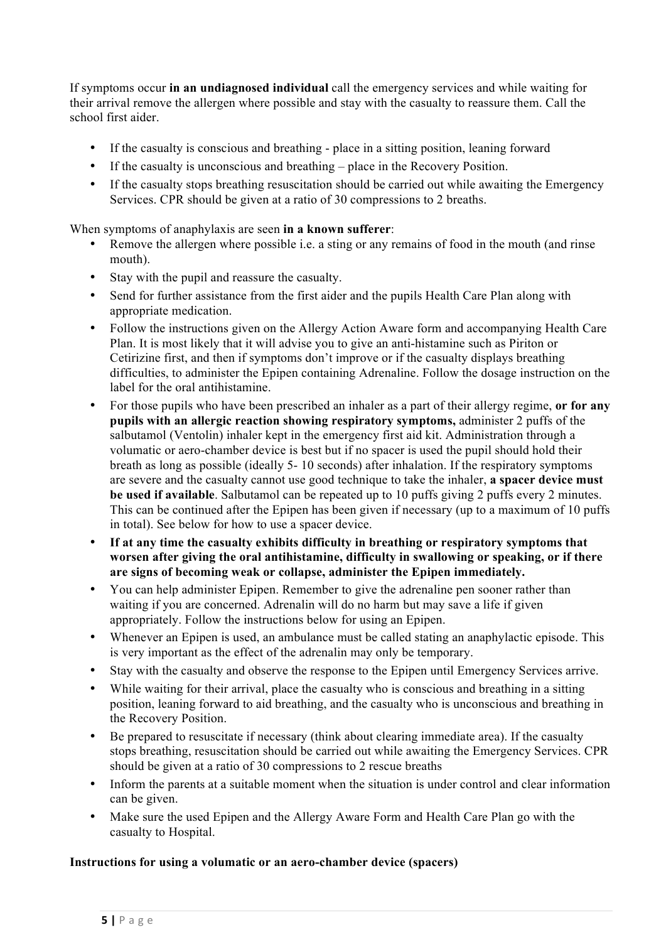If symptoms occur **in an undiagnosed individual** call the emergency services and while waiting for their arrival remove the allergen where possible and stay with the casualty to reassure them. Call the school first aider.

- If the casualty is conscious and breathing place in a sitting position, leaning forward
- If the casualty is unconscious and breathing place in the Recovery Position.
- If the casualty stops breathing resuscitation should be carried out while awaiting the Emergency Services. CPR should be given at a ratio of 30 compressions to 2 breaths.

When symptoms of anaphylaxis are seen **in a known sufferer**:

- Remove the allergen where possible i.e. a sting or any remains of food in the mouth (and rinse mouth).
- Stay with the pupil and reassure the casualty.
- Send for further assistance from the first aider and the pupils Health Care Plan along with appropriate medication.
- Follow the instructions given on the Allergy Action Aware form and accompanying Health Care Plan. It is most likely that it will advise you to give an anti-histamine such as Piriton or Cetirizine first, and then if symptoms don't improve or if the casualty displays breathing difficulties, to administer the Epipen containing Adrenaline. Follow the dosage instruction on the label for the oral antihistamine.
- For those pupils who have been prescribed an inhaler as a part of their allergy regime, **or for any pupils with an allergic reaction showing respiratory symptoms,** administer 2 puffs of the salbutamol (Ventolin) inhaler kept in the emergency first aid kit. Administration through a volumatic or aero-chamber device is best but if no spacer is used the pupil should hold their breath as long as possible (ideally 5- 10 seconds) after inhalation. If the respiratory symptoms are severe and the casualty cannot use good technique to take the inhaler, **a spacer device must be used if available**. Salbutamol can be repeated up to 10 puffs giving 2 puffs every 2 minutes. This can be continued after the Epipen has been given if necessary (up to a maximum of 10 puffs in total). See below for how to use a spacer device.
- **If at any time the casualty exhibits difficulty in breathing or respiratory symptoms that worsen after giving the oral antihistamine, difficulty in swallowing or speaking, or if there are signs of becoming weak or collapse, administer the Epipen immediately.**
- You can help administer Epipen. Remember to give the adrenaline pen sooner rather than waiting if you are concerned. Adrenalin will do no harm but may save a life if given appropriately. Follow the instructions below for using an Epipen.
- Whenever an Epipen is used, an ambulance must be called stating an anaphylactic episode. This is very important as the effect of the adrenalin may only be temporary.
- Stay with the casualty and observe the response to the Epipen until Emergency Services arrive.
- While waiting for their arrival, place the casualty who is conscious and breathing in a sitting position, leaning forward to aid breathing, and the casualty who is unconscious and breathing in the Recovery Position.
- Be prepared to resuscitate if necessary (think about clearing immediate area). If the casualty stops breathing, resuscitation should be carried out while awaiting the Emergency Services. CPR should be given at a ratio of 30 compressions to 2 rescue breaths
- Inform the parents at a suitable moment when the situation is under control and clear information can be given.
- Make sure the used Epipen and the Allergy Aware Form and Health Care Plan go with the casualty to Hospital.

#### **Instructions for using a volumatic or an aero-chamber device (spacers)**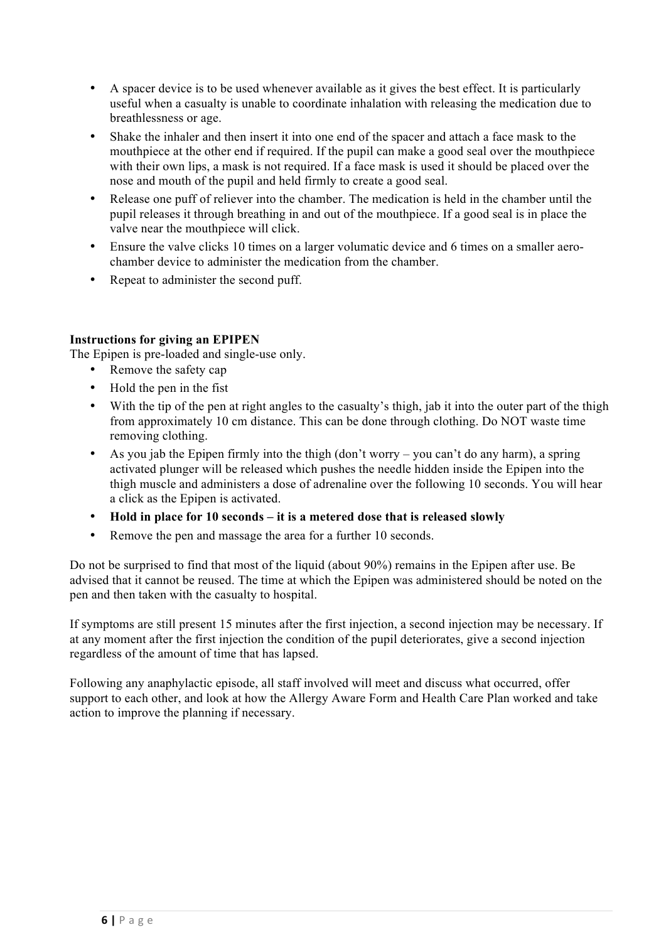- A spacer device is to be used whenever available as it gives the best effect. It is particularly useful when a casualty is unable to coordinate inhalation with releasing the medication due to breathlessness or age.
- Shake the inhaler and then insert it into one end of the spacer and attach a face mask to the mouthpiece at the other end if required. If the pupil can make a good seal over the mouthpiece with their own lips, a mask is not required. If a face mask is used it should be placed over the nose and mouth of the pupil and held firmly to create a good seal.
- Release one puff of reliever into the chamber. The medication is held in the chamber until the pupil releases it through breathing in and out of the mouthpiece. If a good seal is in place the valve near the mouthpiece will click.
- Ensure the valve clicks 10 times on a larger volumatic device and 6 times on a smaller aerochamber device to administer the medication from the chamber.
- Repeat to administer the second puff.

### **Instructions for giving an EPIPEN**

The Epipen is pre-loaded and single-use only.

- Remove the safety cap
- Hold the pen in the fist
- With the tip of the pen at right angles to the casualty's thigh, jab it into the outer part of the thigh from approximately 10 cm distance. This can be done through clothing. Do NOT waste time removing clothing.
- As you jab the Epipen firmly into the thigh (don't worry you can't do any harm), a spring activated plunger will be released which pushes the needle hidden inside the Epipen into the thigh muscle and administers a dose of adrenaline over the following 10 seconds. You will hear a click as the Epipen is activated.
- **Hold in place for 10 seconds – it is a metered dose that is released slowly**
- Remove the pen and massage the area for a further 10 seconds.

Do not be surprised to find that most of the liquid (about 90%) remains in the Epipen after use. Be advised that it cannot be reused. The time at which the Epipen was administered should be noted on the pen and then taken with the casualty to hospital.

If symptoms are still present 15 minutes after the first injection, a second injection may be necessary. If at any moment after the first injection the condition of the pupil deteriorates, give a second injection regardless of the amount of time that has lapsed.

Following any anaphylactic episode, all staff involved will meet and discuss what occurred, offer support to each other, and look at how the Allergy Aware Form and Health Care Plan worked and take action to improve the planning if necessary.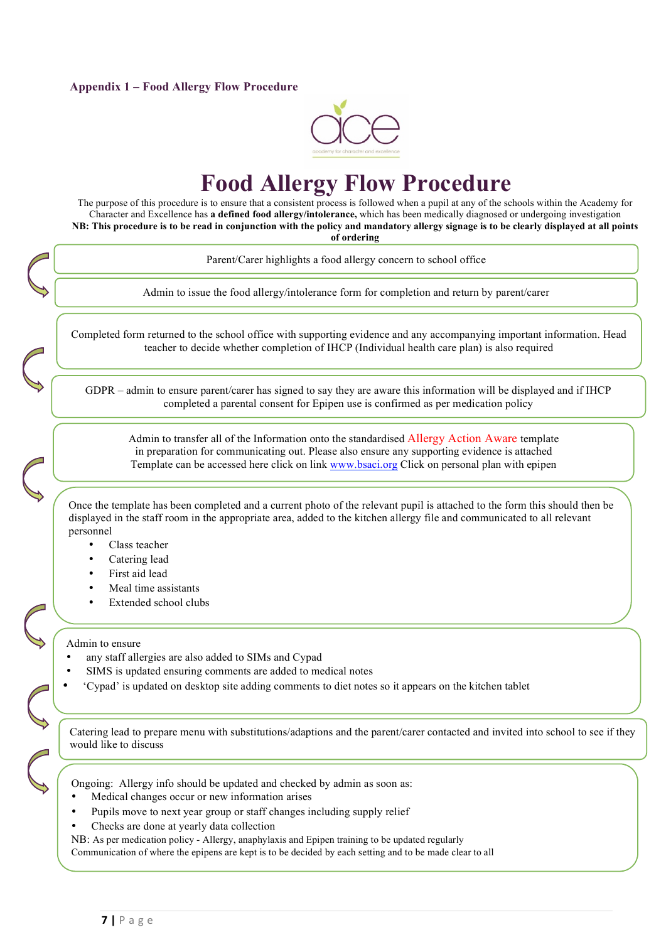#### <span id="page-7-0"></span>**Appendix 1 – Food Allergy Flow Procedure**



# **Food Allergy Flow Procedure**

The purpose of this procedure is to ensure that a consistent process is followed when a pupil at any of the schools within the Academy for Character and Excellence has **a defined food allergy/intolerance,** which has been medically diagnosed or undergoing investigation **NB: This procedure is to be read in conjunction with the policy and mandatory allergy signage is to be clearly displayed at all points of ordering**

Parent/Carer highlights a food allergy concern to school office Admin to issue the food allergy/intolerance form for completion and return by parent/carer Completed form returned to the school office with supporting evidence and any accompanying important information. Head teacher to decide whether completion of IHCP (Individual health care plan) is also required Admin to transfer all of the Information onto the standardised Allergy Action Aware template in preparation for communicating out. Please also ensure any supporting evidence is attached Template can be accessed here click on link [www.bsaci.org](http://www.bsaci.org) Click on personal plan with epipen Once the template has been completed and a current photo of the relevant pupil is attached to the form this should then be displayed in the staff room in the appropriate area, added to the kitchen allergy file and communicated to all relevant personnel Class teacher GDPR – admin to ensure parent/carer has signed to say they are aware this information will be displayed and if IHCP completed a parental consent for Epipen use is confirmed as per medication policy

- Catering lead
- First aid lead
- Meal time assistants
- Extended school clubs

Admin to ensure

- any staff allergies are also added to SIMs and Cypad
- SIMS is updated ensuring comments are added to medical notes
- 'Cypad' is updated on desktop site adding comments to diet notes so it appears on the kitchen tablet

Catering lead to prepare menu with substitutions/adaptions and the parent/carer contacted and invited into school to see if they would like to discuss

Ongoing: Allergy info should be updated and checked by admin as soon as:

- Medical changes occur or new information arises
- Pupils move to next year group or staff changes including supply relief
- Checks are done at yearly data collection

NB: As per medication policy - Allergy, anaphylaxis and Epipen training to be updated regularly

Communication of where the epipens are kept is to be decided by each setting and to be made clear to all

 $\mathcal{L}_{\mathcal{A}}$  are followed so that the correct meal is processes are followed so that the correct meal is prepared and served and served and served and served and served and served and served and served and served and se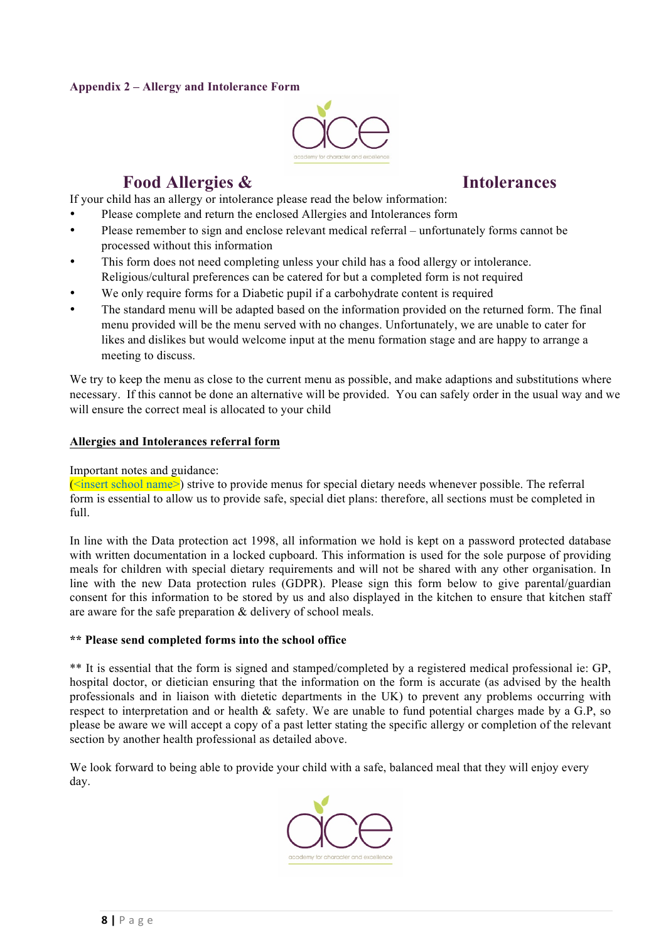#### <span id="page-8-0"></span>**Appendix 2 – Allergy and Intolerance Form**



# **Food Allergies & Intolerances**

If your child has an allergy or intolerance please read the below information:

- Please complete and return the enclosed Allergies and Intolerances form
- Please remember to sign and enclose relevant medical referral unfortunately forms cannot be processed without this information
- This form does not need completing unless your child has a food allergy or intolerance. Religious/cultural preferences can be catered for but a completed form is not required
- We only require forms for a Diabetic pupil if a carbohydrate content is required
- The standard menu will be adapted based on the information provided on the returned form. The final menu provided will be the menu served with no changes. Unfortunately, we are unable to cater for likes and dislikes but would welcome input at the menu formation stage and are happy to arrange a meeting to discuss.

We try to keep the menu as close to the current menu as possible, and make adaptions and substitutions where necessary. If this cannot be done an alternative will be provided. You can safely order in the usual way and we will ensure the correct meal is allocated to your child

#### **Allergies and Intolerances referral form**

#### Important notes and guidance:

 $\leq$ insert school name>) strive to provide menus for special dietary needs whenever possible. The referral form is essential to allow us to provide safe, special diet plans: therefore, all sections must be completed in  $f<sub>1</sub>$ ll

In line with the Data protection act 1998, all information we hold is kept on a password protected database with written documentation in a locked cupboard. This information is used for the sole purpose of providing meals for children with special dietary requirements and will not be shared with any other organisation. In line with the new Data protection rules (GDPR). Please sign this form below to give parental/guardian consent for this information to be stored by us and also displayed in the kitchen to ensure that kitchen staff are aware for the safe preparation & delivery of school meals.

#### **\*\* Please send completed forms into the school office**

\*\* It is essential that the form is signed and stamped/completed by a registered medical professional ie: GP, hospital doctor, or dietician ensuring that the information on the form is accurate (as advised by the health professionals and in liaison with dietetic departments in the UK) to prevent any problems occurring with respect to interpretation and or health & safety. We are unable to fund potential charges made by a G.P, so please be aware we will accept a copy of a past letter stating the specific allergy or completion of the relevant section by another health professional as detailed above.

We look forward to being able to provide your child with a safe, balanced meal that they will enjoy every day.